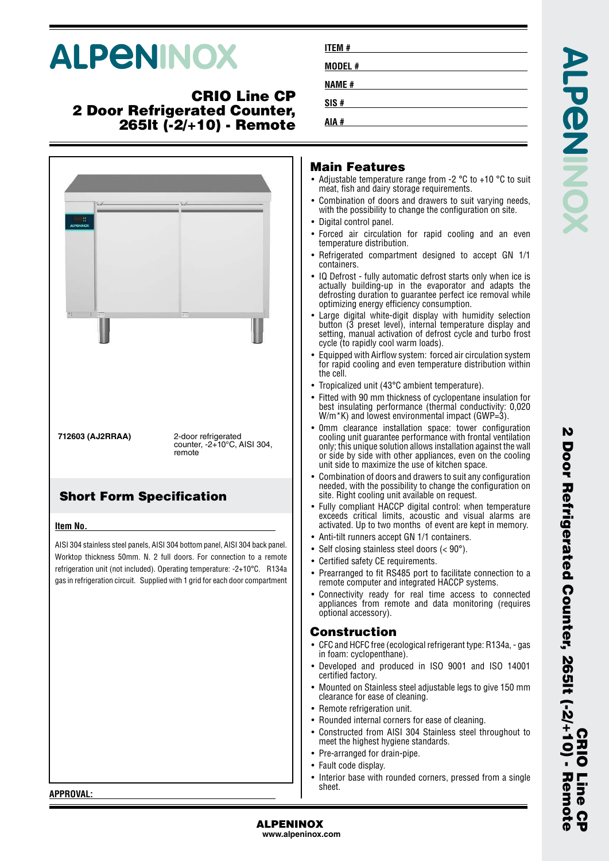# **ALPENINOX**

#### **CRIO Line CP 2 Door Refrigerated Counter, 265lt (-2/+10) - Remote**



| ITEM #       |  |  |  |
|--------------|--|--|--|
| MODEL #      |  |  |  |
| <b>NAME#</b> |  |  |  |
| SIS#         |  |  |  |
| AIA #        |  |  |  |

#### **Main Features**

- Adjustable temperature range from -2 °C to +10 °C to suit meat, fish and dairy storage requirements.
- • Combination of doors and drawers to suit varying needs, with the possibility to change the configuration on site.
- Digital control panel.
- • Forced air circulation for rapid cooling and an even temperature distribution.
- Refrigerated compartment designed to accept GN 1/1 containers.
- IQ Defrost fully automatic defrost starts only when ice is actually building-up in the evaporator and adapts the defrosting duration to guarantee perfect ice removal while optimizing energy efficiency consumption.
- • Large digital white-digit display with humidity selection button (3 preset level), internal temperature display and setting, manual activation of defrost cycle and turbo frost cycle (to rapidly cool warm loads).
- • Equipped with Airflow system: forced air circulation system for rapid cooling and even temperature distribution within the cell.
- Tropicalized unit (43°C ambient temperature).
- • Fitted with 90 mm thickness of cyclopentane insulation for best insulating performance (thermal conductivity: 0,020 W/m<sup>\*</sup>K) and lowest environmental impact (GWP=3).
- 0mm clearance installation space: tower configuration cooling unit guarantee performance with frontal ventilation only; this unique solution allows installation against the wall or side by side with other appliances, even on the cooling unit side to maximize the use of kitchen space.
- • Combination of doors and drawers to suit any configuration needed, with the possibility to change the configuration on site. Right cooling unit available on request.
- • Fully compliant HACCP digital control: when temperature exceeds critical limits, acoustic and visual alarms are activated. Up to two months of event are kept in memory.
- •Anti-tilt runners accept GN 1/1 containers.
- Self closing stainless steel doors (< 90°).
- Certified safety CE requirements.
- • Prearranged to fit RS485 port to facilitate connection to a remote computer and integrated HACCP systems.
- • Connectivity ready for real time access to connected appliances from remote and data monitoring (requires optional accessory).

#### **Construction**

- • CFC and HCFC free (ecological refrigerant type: R134a, - gas in foam: cyclopenthane).
- • Developed and produced in ISO 9001 and ISO 14001 certified factory.
- Mounted on Stainless steel adjustable legs to give 150 mm clearance for ease of cleaning.
- Remote refrigeration unit.
- Rounded internal corners for ease of cleaning.
- • Constructed from AISI 304 Stainless steel throughout to meet the highest hygiene standards.
- Pre-arranged for drain-pipe.
- Fault code display.
- • Interior base with rounded corners, pressed from a single sheet.

**CRIO Line CP**

**Pine** 

**2 Door Refrigerated Counter, 265lt (-2/+10) - Remote**

Door Refrigerated Counter, 265lt (-2/+10) - Remote

N

**APPROVAL:**

**ALPENINOX www.alpeninox.com**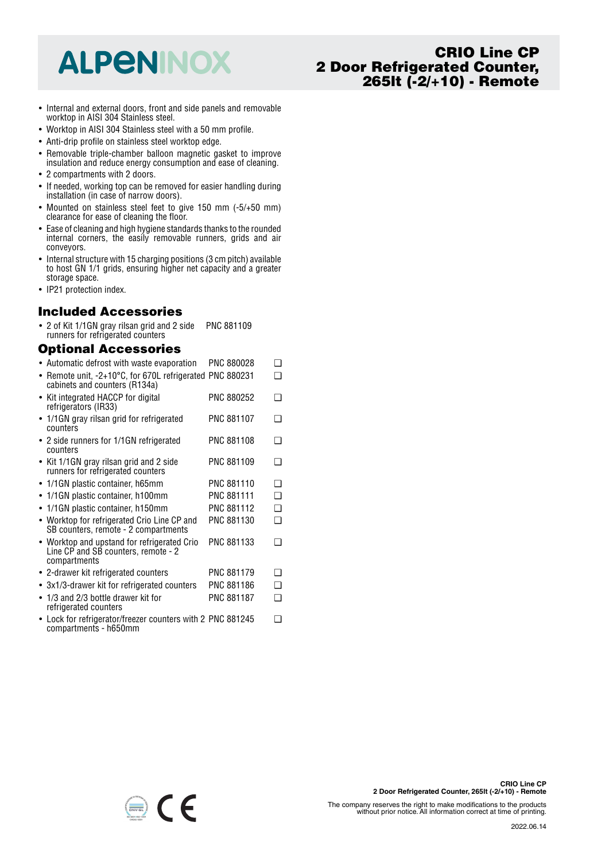## **ALPENINOX**

## **CRIO Line CP 2 Door Refrigerated Counter, 265lt (-2/+10) - Remote**

- Internal and external doors, front and side panels and removable worktop in AISI 304 Stainless steel.
- Worktop in AISI 304 Stainless steel with a 50 mm profile.
- Anti-drip profile on stainless steel worktop edge.
- Removable triple-chamber balloon magnetic gasket to improve insulation and reduce energy consumption and ease of cleaning.
- 2 compartments with 2 doors.
- If needed, working top can be removed for easier handling during installation (in case of narrow doors).
- Mounted on stainless steel feet to give 150 mm (-5/+50 mm) clearance for ease of cleaning the floor.
- • Ease of cleaning and high hygiene standards thanks to the rounded internal corners, the easily removable runners, grids and air conveyors.
- Internal structure with 15 charging positions (3 cm pitch) available to host GN 1/1 grids, ensuring higher net capacity and a greater storage space.
- IP21 protection index.

#### **Included Accessories**

• 2 of Kit 1/1GN gray rilsan grid and 2 side runners for refrigerated counters PNC 881109

## **Optional Accessories**

compartments - h650mm

- Automatic defrost with waste evaporation PNC 880028 ❑
- Remote unit, -2+10°C, for 670L refrigerated PNC 880231 ❑ cabinets and counters (R134a) • Kit integrated HACCP for digital refrigerators (IR33) PNC 880252 ❑ • 1/1GN gray rilsan grid for refrigerated counters PNC 881107 ❑ • 2 side runners for 1/1GN refrigerated counters PNC 881108 ❑ • Kit 1/1GN gray rilsan grid and 2 side runners for refrigerated counters PNC 881109 ❑ • 1/1GN plastic container, h65mm PNC 881110 ❑ • 1/1GN plastic container, h100mm PNC 881111 ❑ • 1/1GN plastic container, h150mm PNC 881112 ❑ • Worktop for refrigerated Crio Line CP and SB counters, remote - 2 compartments PNC 881130 ❑ • Worktop and upstand for refrigerated Crio Line CP and SB counters, remote - 2 compartments PNC 881133 ❑ • 2-drawer kit refrigerated counters PNC 881179 ❑ • 3x1/3-drawer kit for refrigerated counters PNC 881186 ❑ • 1/3 and 2/3 bottle drawer kit for refrigerated counters PNC 881187 ❑ • Lock for refrigerator/freezer counters with 2 PNC 881245 ❑

 $\epsilon$ 

The company reserves the right to make modifications to the products without prior notice. All information correct at time of printing.